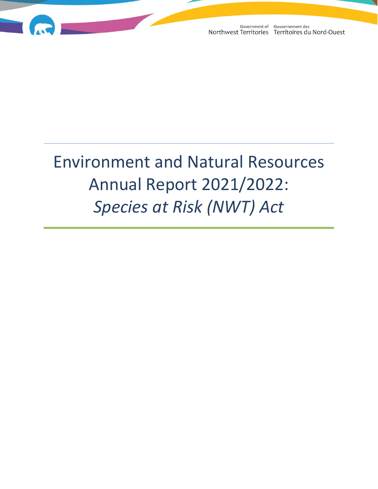

# Environment and Natural Resources Annual Report 2021/2022: *Species at Risk (NWT) Act*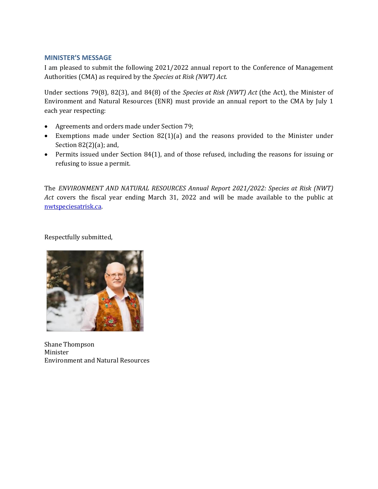#### **MINISTER'S MESSAGE**

I am pleased to submit the following 2021/2022 annual report to the Conference of Management Authorities (CMA) as required by the *Species at Risk (NWT) Act.*

Under sections 79(8), 82(3), and 84(8) of the *Species at Risk (NWT) Act* (the Act), the Minister of Environment and Natural Resources (ENR) must provide an annual report to the CMA by July 1 each year respecting:

- Agreements and orders made under Section 79;
- Exemptions made under Section 82(1)(a) and the reasons provided to the Minister under Section 82(2)(a); and,
- Permits issued under Section 84(1), and of those refused, including the reasons for issuing or refusing to issue a permit.

The *ENVIRONMENT AND NATURAL RESOURCES Annual Report 2021/2022: Species at Risk (NWT) Act* covers the fiscal year ending March 31, 2022 and will be made available to the public at [nwtspeciesatrisk.ca.](http://nwtspeciesatrisk.ca/) 

Respectfully submitted,



Shane Thompson Minister Environment and Natural Resources